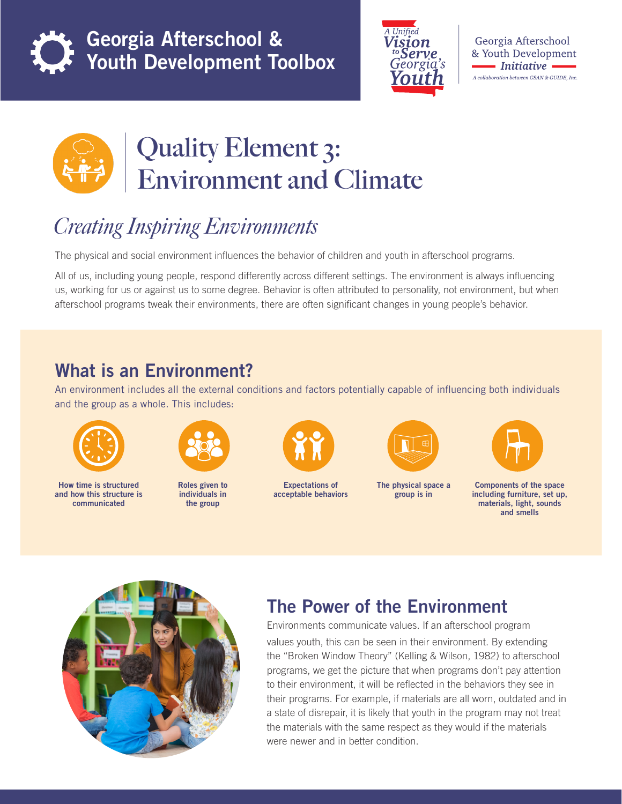

Georgia Afterschool & Youth Development Toolbox



Georgia Afterschool & Youth Development - Initiative **-**A collaboration between GSAN & GUIDE, Inc.



# **Quality Element 3: Environment and Climate**

## *Creating Inspiring Environments*

The physical and social environment influences the behavior of children and youth in afterschool programs.

All of us, including young people, respond differently across different settings. The environment is always influencing us, working for us or against us to some degree. Behavior is often attributed to personality, not environment, but when afterschool programs tweak their environments, there are often significant changes in young people's behavior.

### What is an Environment?

An environment includes all the external conditions and factors potentially capable of influencing both individuals and the group as a whole. This includes:



How time is structured and how this structure is communicated



Roles given to individuals in the group



Expectations of acceptable behaviors



The physical space a group is in



Components of the space including furniture, set up, materials, light, sounds and smells



### The Power of the Environment

Environments communicate values. If an afterschool program values youth, this can be seen in their environment. By extending the "Broken Window Theory" (Kelling & Wilson, 1982) to afterschool programs, we get the picture that when programs don't pay attention to their environment, it will be reflected in the behaviors they see in their programs. For example, if materials are all worn, outdated and in a state of disrepair, it is likely that youth in the program may not treat the materials with the same respect as they would if the materials were newer and in better condition.